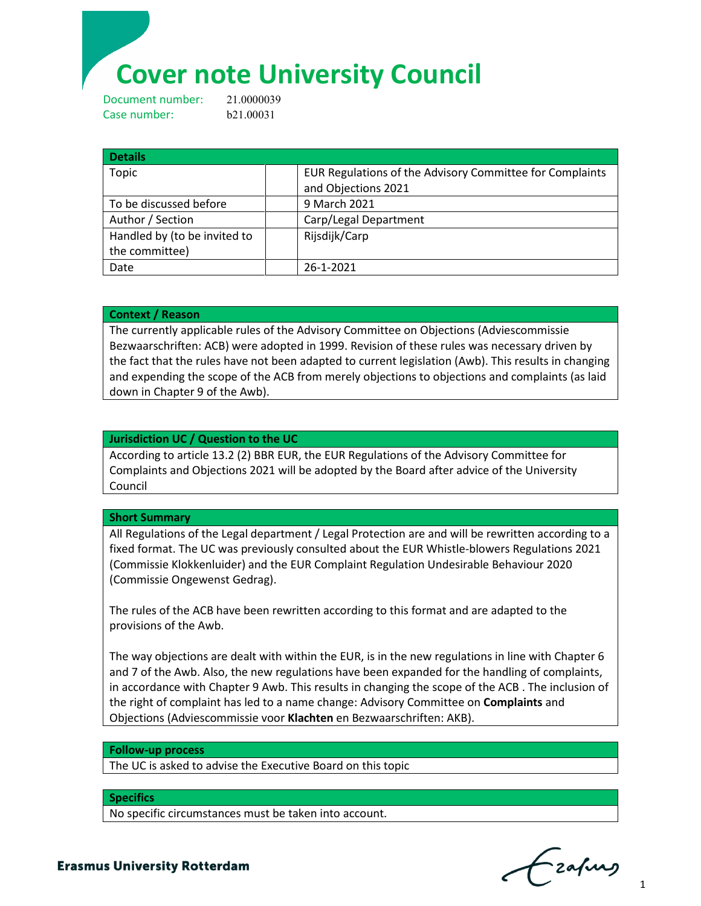# **Cover note University Council**

Document number: 21.0000039 Case number: b21.00031

| <b>Details</b>               |                                                          |
|------------------------------|----------------------------------------------------------|
| Topic                        | EUR Regulations of the Advisory Committee for Complaints |
|                              | and Objections 2021                                      |
| To be discussed before       | 9 March 2021                                             |
| Author / Section             | Carp/Legal Department                                    |
| Handled by (to be invited to | Rijsdijk/Carp                                            |
| the committee)               |                                                          |
| Date                         | 26-1-2021                                                |

### **Context / Reason**

The currently applicable rules of the Advisory Committee on Objections (Adviescommissie Bezwaarschriften: ACB) were adopted in 1999. Revision of these rules was necessary driven by the fact that the rules have not been adapted to current legislation (Awb). This results in changing and expending the scope of the ACB from merely objections to objections and complaints (as laid down in Chapter 9 of the Awb).

## **Jurisdiction UC / Question to the UC**

According to article 13.2 (2) BBR EUR, the EUR Regulations of the Advisory Committee for Complaints and Objections 2021 will be adopted by the Board after advice of the University Council

#### **Short Summary**

All Regulations of the Legal department / Legal Protection are and will be rewritten according to a fixed format. The UC was previously consulted about the EUR Whistle-blowers Regulations 2021 (Commissie Klokkenluider) and the EUR Complaint Regulation Undesirable Behaviour 2020 (Commissie Ongewenst Gedrag).

The rules of the ACB have been rewritten according to this format and are adapted to the provisions of the Awb.

The way objections are dealt with within the EUR, is in the new regulations in line with Chapter 6 and 7 of the Awb. Also, the new regulations have been expanded for the handling of complaints, in accordance with Chapter 9 Awb. This results in changing the scope of the ACB . The inclusion of the right of complaint has led to a name change: Advisory Committee on **Complaints** and Objections (Adviescommissie voor **Klachten** en Bezwaarschriften: AKB).

#### **Follow-up process**

The UC is asked to advise the Executive Board on this topic

#### **Specifics**

No specific circumstances must be taken into account.

 $\sim$   $\sim$  1